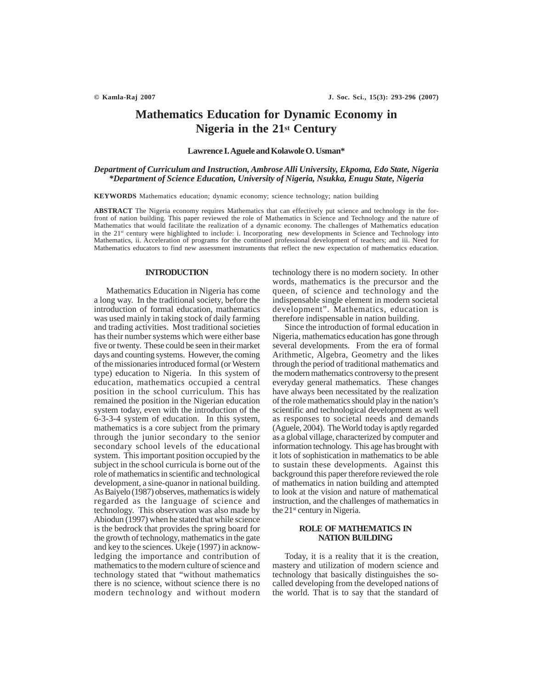# **Mathematics Education for Dynamic Economy in Nigeria in the 21st Century**

### **Lawrence I. Aguele and Kolawole O. Usman\***

## *Department of Curriculum and Instruction, Ambrose Alli University, Ekpoma, Edo State, Nigeria \*Department of Science Education, University of Nigeria, Nsukka, Enugu State, Nigeria*

**KEYWORDS** Mathematics education; dynamic economy; science technology; nation building

**ABSTRACT** The Nigeria economy requires Mathematics that can effectively put science and technology in the forfront of nation building. This paper reviewed the role of Mathematics in Science and Technology and the nature of Mathematics that would facilitate the realization of a dynamic economy. The challenges of Mathematics education in the 21<sup>st</sup> century were highlighted to include: i. Incorporating new developments in Science and Technology into Mathematics, ii. Acceleration of programs for the continued professional development of teachers; and iii. Need for Mathematics educators to find new assessment instruments that reflect the new expectation of mathematics education.

## **INTRODUCTION**

Mathematics Education in Nigeria has come a long way. In the traditional society, before the introduction of formal education, mathematics was used mainly in taking stock of daily farming and trading activities. Most traditional societies has their number systems which were either base five or twenty. These could be seen in their market days and counting systems. However, the coming of the missionaries introduced formal (or Western type) education to Nigeria. In this system of education, mathematics occupied a central position in the school curriculum. This has remained the position in the Nigerian education system today, even with the introduction of the 6-3-3-4 system of education. In this system, mathematics is a core subject from the primary through the junior secondary to the senior secondary school levels of the educational system. This important position occupied by the subject in the school curricula is borne out of the role of mathematics in scientific and technological development, a sine-quanor in national building. As Baiyelo (1987) observes, mathematics is widely regarded as the language of science and technology. This observation was also made by Abiodun (1997) when he stated that while science is the bedrock that provides the spring board for the growth of technology, mathematics in the gate and key to the sciences. Ukeje (1997) in acknowledging the importance and contribution of mathematics to the modern culture of science and technology stated that "without mathematics there is no science, without science there is no modern technology and without modern

technology there is no modern society. In other words, mathematics is the precursor and the queen, of science and technology and the indispensable single element in modern societal development". Mathematics, education is therefore indispensable in nation building.

Since the introduction of formal education in Nigeria, mathematics education has gone through several developments. From the era of formal Arithmetic, Algebra, Geometry and the likes through the period of traditional mathematics and the modern mathematics controversy to the present everyday general mathematics. These changes have always been necessitated by the realization of the role mathematics should play in the nation's scientific and technological development as well as responses to societal needs and demands (Aguele, 2004). The World today is aptly regarded as a global village, characterized by computer and information technology. This age has brought with it lots of sophistication in mathematics to be able to sustain these developments. Against this background this paper therefore reviewed the role of mathematics in nation building and attempted to look at the vision and nature of mathematical instruction, and the challenges of mathematics in the  $21<sup>st</sup>$  century in Nigeria.

## **ROLE OF MATHEMATICS IN NATION BUILDING**

Today, it is a reality that it is the creation, mastery and utilization of modern science and technology that basically distinguishes the socalled developing from the developed nations of the world. That is to say that the standard of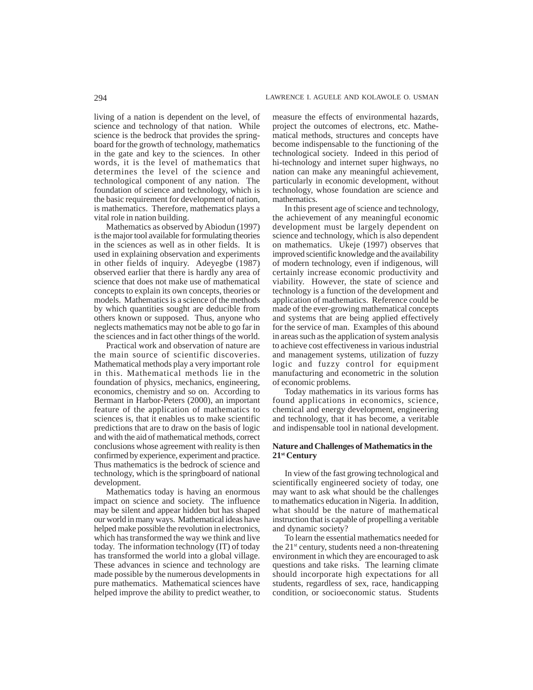living of a nation is dependent on the level, of science and technology of that nation. While science is the bedrock that provides the springboard for the growth of technology, mathematics in the gate and key to the sciences. In other words, it is the level of mathematics that determines the level of the science and technological component of any nation. The foundation of science and technology, which is the basic requirement for development of nation, is mathematics. Therefore, mathematics plays a vital role in nation building.

Mathematics as observed by Abiodun (1997) is the major tool available for formulating theories in the sciences as well as in other fields. It is used in explaining observation and experiments in other fields of inquiry. Adeyegbe (1987) observed earlier that there is hardly any area of science that does not make use of mathematical concepts to explain its own concepts, theories or models. Mathematics is a science of the methods by which quantities sought are deducible from others known or supposed. Thus, anyone who neglects mathematics may not be able to go far in the sciences and in fact other things of the world.

Practical work and observation of nature are the main source of scientific discoveries. Mathematical methods play a very important role in this. Mathematical methods lie in the foundation of physics, mechanics, engineering, economics, chemistry and so on. According to Bermant in Harbor-Peters (2000), an important feature of the application of mathematics to sciences is, that it enables us to make scientific predictions that are to draw on the basis of logic and with the aid of mathematical methods, correct conclusions whose agreement with reality is then confirmed by experience, experiment and practice. Thus mathematics is the bedrock of science and technology, which is the springboard of national development.

Mathematics today is having an enormous impact on science and society. The influence may be silent and appear hidden but has shaped our world in many ways. Mathematical ideas have helped make possible the revolution in electronics, which has transformed the way we think and live today. The information technology (IT) of today has transformed the world into a global village. These advances in science and technology are made possible by the numerous developments in pure mathematics. Mathematical sciences have helped improve the ability to predict weather, to measure the effects of environmental hazards, project the outcomes of electrons, etc. Mathematical methods, structures and concepts have become indispensable to the functioning of the technological society. Indeed in this period of hi-technology and internet super highways, no nation can make any meaningful achievement, particularly in economic development, without technology, whose foundation are science and mathematics.

In this present age of science and technology, the achievement of any meaningful economic development must be largely dependent on science and technology, which is also dependent on mathematics. Ukeje (1997) observes that improved scientific knowledge and the availability of modern technology, even if indigenous, will certainly increase economic productivity and viability. However, the state of science and technology is a function of the development and application of mathematics. Reference could be made of the ever-growing mathematical concepts and systems that are being applied effectively for the service of man. Examples of this abound in areas such as the application of system analysis to achieve cost effectiveness in various industrial and management systems, utilization of fuzzy logic and fuzzy control for equipment manufacturing and econometric in the solution of economic problems.

Today mathematics in its various forms has found applications in economics, science, chemical and energy development, engineering and technology, that it has become, a veritable and indispensable tool in national development.

## **Nature and Challenges of Mathematics in the 21st Century**

In view of the fast growing technological and scientifically engineered society of today, one may want to ask what should be the challenges to mathematics education in Nigeria. In addition, what should be the nature of mathematical instruction that is capable of propelling a veritable and dynamic society?

To learn the essential mathematics needed for the  $21<sup>st</sup>$  century, students need a non-threatening environment in which they are encouraged to ask questions and take risks. The learning climate should incorporate high expectations for all students, regardless of sex, race, handicapping condition, or socioeconomic status. Students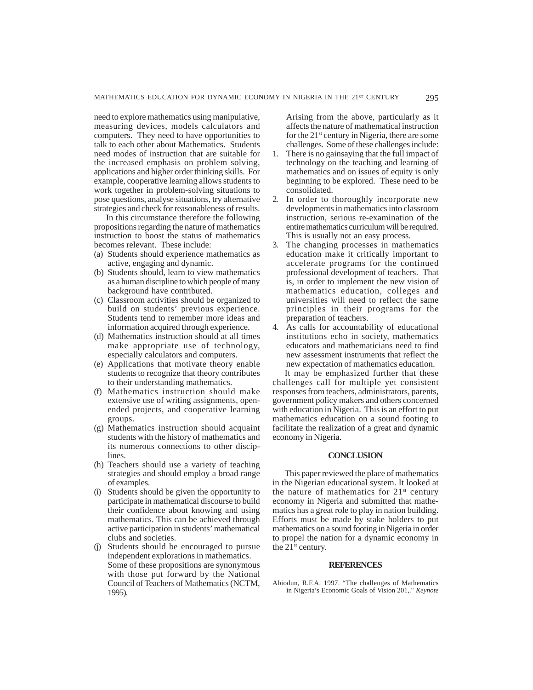need to explore mathematics using manipulative, measuring devices, models calculators and computers. They need to have opportunities to talk to each other about Mathematics. Students need modes of instruction that are suitable for the increased emphasis on problem solving, applications and higher order thinking skills. For example, cooperative learning allows students to work together in problem-solving situations to pose questions, analyse situations, try alternative strategies and check for reasonableness of results.

In this circumstance therefore the following propositions regarding the nature of mathematics instruction to boost the status of mathematics becomes relevant. These include:

- (a) Students should experience mathematics as active, engaging and dynamic.
- (b) Students should, learn to view mathematics as a human discipline to which people of many background have contributed.
- (c) Classroom activities should be organized to build on students' previous experience. Students tend to remember more ideas and information acquired through experience.
- (d) Mathematics instruction should at all times make appropriate use of technology, especially calculators and computers.
- (e) Applications that motivate theory enable students to recognize that theory contributes to their understanding mathematics.
- (f) Mathematics instruction should make extensive use of writing assignments, openended projects, and cooperative learning groups.
- (g) Mathematics instruction should acquaint students with the history of mathematics and its numerous connections to other disciplines.
- (h) Teachers should use a variety of teaching strategies and should employ a broad range of examples.
- Students should be given the opportunity to participate in mathematical discourse to build their confidence about knowing and using mathematics. This can be achieved through active participation in students' mathematical clubs and societies.
- Students should be encouraged to pursue independent explorations in mathematics. Some of these propositions are synonymous with those put forward by the National Council of Teachers of Mathematics (NCTM, 1995).

Arising from the above, particularly as it affects the nature of mathematical instruction for the 21st century in Nigeria, there are some challenges. Some of these challenges include:

- 1. There is no gainsaying that the full impact of technology on the teaching and learning of mathematics and on issues of equity is only beginning to be explored. These need to be consolidated.
- 2. In order to thoroughly incorporate new developments in mathematics into classroom instruction, serious re-examination of the entire mathematics curriculum will be required. This is usually not an easy process.
- 3. The changing processes in mathematics education make it critically important to accelerate programs for the continued professional development of teachers. That is, in order to implement the new vision of mathematics education, colleges and universities will need to reflect the same principles in their programs for the preparation of teachers.
- 4. As calls for accountability of educational institutions echo in society, mathematics educators and mathematicians need to find new assessment instruments that reflect the new expectation of mathematics education.

It may be emphasized further that these challenges call for multiple yet consistent responses from teachers, administrators, parents, government policy makers and others concerned with education in Nigeria. This is an effort to put mathematics education on a sound footing to facilitate the realization of a great and dynamic economy in Nigeria.

#### **CONCLUSION**

This paper reviewed the place of mathematics in the Nigerian educational system. It looked at the nature of mathematics for  $21<sup>st</sup>$  century economy in Nigeria and submitted that mathematics has a great role to play in nation building. Efforts must be made by stake holders to put mathematics on a sound footing in Nigeria in order to propel the nation for a dynamic economy in the  $21<sup>st</sup>$  century.

#### **REFERENCES**

Abiodun, R.F.A. 1997. "The challenges of Mathematics in Nigeria's Economic Goals of Vision 201,." *Keynote*